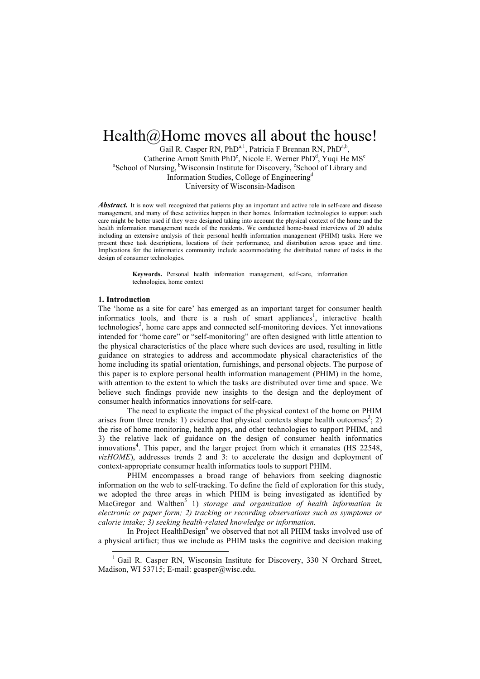# Health@Home moves all about the house!

Gail R. Casper RN, PhD<sup>a,1</sup>, Patricia F Brennan RN, PhD<sup>a,b</sup>, Catherine Arnott Smith PhD<sup>c</sup>, Nicole E. Werner PhD<sup>d</sup>, Yuqi He MS<sup>c</sup> <sup>a</sup>School of Nursing, <sup>b</sup>Wisconsin Institute for Discovery, <sup>c</sup>School of Library and Information Studies, College of Engineering<sup>d</sup> University of Wisconsin-Madison

Abstract. It is now well recognized that patients play an important and active role in self-care and disease management, and many of these activities happen in their homes. Information technologies to support such care might be better used if they were designed taking into account the physical context of the home and the health information management needs of the residents. We conducted home-based interviews of 20 adults including an extensive analysis of their personal health information management (PHIM) tasks. Here we present these task descriptions, locations of their performance, and distribution across space and time. Implications for the informatics community include accommodating the distributed nature of tasks in the design of consumer technologies.

> **Keywords.** Personal health information management, self-care, information technologies, home context

## **1. Introduction**

The 'home as a site for care' has emerged as an important target for consumer health informatics tools, and there is a rush of smart appliances<sup>1</sup>, interactive health technologies<sup>2</sup>, home care apps and connected self-monitoring devices. Yet innovations intended for "home care" or "self-monitoring" are often designed with little attention to the physical characteristics of the place where such devices are used, resulting in little guidance on strategies to address and accommodate physical characteristics of the home including its spatial orientation, furnishings, and personal objects. The purpose of this paper is to explore personal health information management (PHIM) in the home, with attention to the extent to which the tasks are distributed over time and space. We believe such findings provide new insights to the design and the deployment of consumer health informatics innovations for self-care.

The need to explicate the impact of the physical context of the home on PHIM arises from three trends: 1) evidence that physical contexts shape health outcomes<sup>3</sup>; 2) the rise of home monitoring, health apps, and other technologies to support PHIM, and 3) the relative lack of guidance on the design of consumer health informatics innovations<sup>4</sup>. This paper, and the larger project from which it emanates (HS 22548, *vizHOME*), addresses trends 2 and 3: to accelerate the design and deployment of context-appropriate consumer health informatics tools to support PHIM.

PHIM encompasses a broad range of behaviors from seeking diagnostic information on the web to self-tracking. To define the field of exploration for this study, we adopted the three areas in which PHIM is being investigated as identified by MacGregor and Walthen<sup>5</sup> 1) *storage and organization of health information in electronic or paper form; 2) tracking or recording observations such as symptoms or calorie intake; 3) seeking health-related knowledge or information.*

In Project HealthDesign<sup>6</sup> we observed that not all PHIM tasks involved use of a physical artifact; thus we include as PHIM tasks the cognitive and decision making

<sup>&</sup>lt;sup>1</sup> Gail R. Casper RN, Wisconsin Institute for Discovery, 330 N Orchard Street, Madison, WI 53715; E-mail: gcasper@wisc.edu.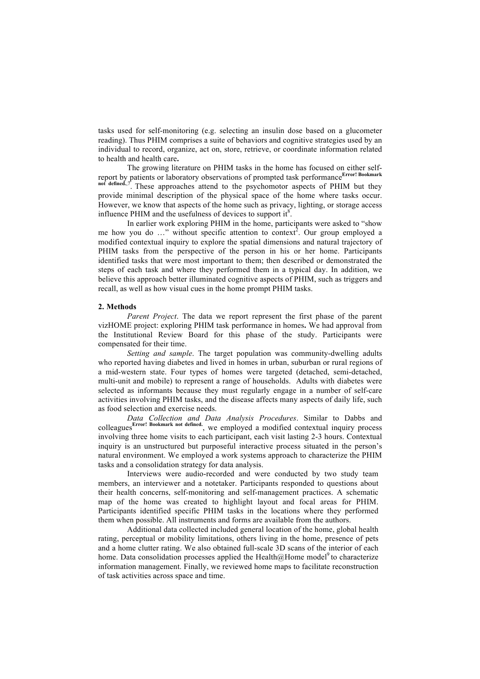tasks used for self-monitoring (e.g. selecting an insulin dose based on a glucometer reading). Thus PHIM comprises a suite of behaviors and cognitive strategies used by an individual to record, organize, act on, store, retrieve, or coordinate information related to health and health care**.** 

The growing literature on PHIM tasks in the home has focused on either selfreport by patients or laboratory observations of prompted task performance<sup>Error! Bookmark</sup> not defined.,7. These approaches attend to the psychomotor aspects of PHIM but they provide minimal description of the physical space of the home where tasks occur. However, we know that aspects of the home such as privacy, lighting, or storage access influence PHIM and the usefulness of devices to support it $8$ .

In earlier work exploring PHIM in the home, participants were asked to "show me how you do ..." without specific attention to context<sup>2</sup>. Our group employed a modified contextual inquiry to explore the spatial dimensions and natural trajectory of PHIM tasks from the perspective of the person in his or her home. Participants identified tasks that were most important to them; then described or demonstrated the steps of each task and where they performed them in a typical day. In addition, we believe this approach better illuminated cognitive aspects of PHIM, such as triggers and recall, as well as how visual cues in the home prompt PHIM tasks.

#### **2. Methods**

*Parent Project*. The data we report represent the first phase of the parent vizHOME project: exploring PHIM task performance in homes**.** We had approval from the Institutional Review Board for this phase of the study. Participants were compensated for their time.

*Setting and sample*. The target population was community-dwelling adults who reported having diabetes and lived in homes in urban, suburban or rural regions of a mid-western state. Four types of homes were targeted (detached, semi-detached, multi-unit and mobile) to represent a range of households. Adults with diabetes were selected as informants because they must regularly engage in a number of self-care activities involving PHIM tasks, and the disease affects many aspects of daily life, such as food selection and exercise needs.

*Data Collection and Data Analysis Procedures*. Similar to Dabbs and colleagues**Error! Bookmark not defined.**, we employed a modified contextual inquiry process involving three home visits to each participant, each visit lasting 2-3 hours. Contextual inquiry is an unstructured but purposeful interactive process situated in the person's natural environment. We employed a work systems approach to characterize the PHIM tasks and a consolidation strategy for data analysis.

Interviews were audio-recorded and were conducted by two study team members, an interviewer and a notetaker. Participants responded to questions about their health concerns, self-monitoring and self-management practices. A schematic map of the home was created to highlight layout and focal areas for PHIM. Participants identified specific PHIM tasks in the locations where they performed them when possible. All instruments and forms are available from the authors.

Additional data collected included general location of the home, global health rating, perceptual or mobility limitations, others living in the home, presence of pets and a home clutter rating. We also obtained full-scale 3D scans of the interior of each home. Data consolidation processes applied the Health@Home model<sup>9</sup> to characterize information management. Finally, we reviewed home maps to facilitate reconstruction of task activities across space and time.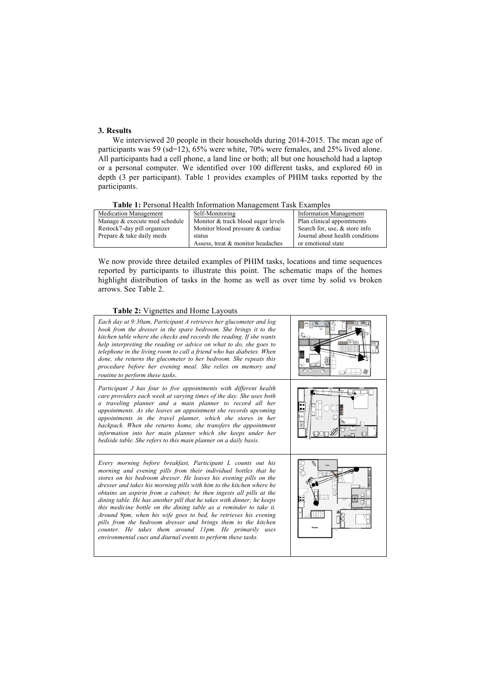# **3. Results**

We interviewed 20 people in their households during 2014-2015. The mean age of participants was 59 (sd=12), 65% were white, 70% were females, and 25% lived alone. All participants had a cell phone, a land line or both; all but one household had a laptop or a personal computer. We identified over 100 different tasks, and explored 60 in depth (3 per participant). Table 1 provides examples of PHIM tasks reported by the participants.

#### **Table 1:** Personal Health Information Management Task Examples

| <b>Medication Management</b>  | Self-Monitoring                    | <b>Information Management</b>   |
|-------------------------------|------------------------------------|---------------------------------|
| Manage & execute med schedule | Monitor & track blood sugar levels | Plan clinical appointments      |
| Restock7-day pill organizer   | Monitor blood pressure & cardiac   | Search for, use, & store info   |
| Prepare & take daily meds     | status                             | Journal about health conditions |
|                               | Assess, treat & monitor headaches  | or emotional state              |

We now provide three detailed examples of PHIM tasks, locations and time sequences reported by participants to illustrate this point. The schematic maps of the homes highlight distribution of tasks in the home as well as over time by solid vs broken arrows. See Table 2.

# **Table 2:** Vignettes and Home Layouts

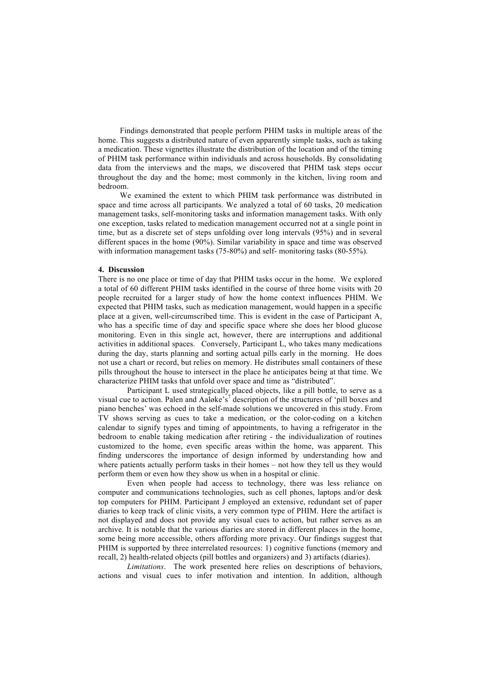Findings demonstrated that people perform PHIM tasks in multiple areas of the home. This suggests a distributed nature of even apparently simple tasks, such as taking a medication. These vignettes illustrate the distribution of the location and of the timing of PHIM task performance within individuals and across households. By consolidating data from the interviews and the maps, we discovered that PHIM task steps occur throughout the day and the home; most commonly in the kitchen, living room and bedroom.

We examined the extent to which PHIM task performance was distributed in space and time across all participants. We analyzed a total of 60 tasks, 20 medication management tasks, self-monitoring tasks and information management tasks. With only one exception, tasks related to medication management occurred not at a single point in time, but as a discrete set of steps unfolding over long intervals (95%) and in several different spaces in the home (90%). Similar variability in space and time was observed with information management tasks (75-80%) and self- monitoring tasks (80-55%).

# **4. Discussion**

There is no one place or time of day that PHIM tasks occur in the home. We explored a total of 60 different PHIM tasks identified in the course of three home visits with 20 people recruited for a larger study of how the home context influences PHIM. We expected that PHIM tasks, such as medication management, would happen in a specific place at a given, well-circumscribed time. This is evident in the case of Participant A, who has a specific time of day and specific space where she does her blood glucose monitoring. Even in this single act, however, there are interruptions and additional activities in additional spaces. Conversely, Participant L, who takes many medications during the day, starts planning and sorting actual pills early in the morning. He does not use a chart or record, but relies on memory. He distributes small containers of these pills throughout the house to intersect in the place he anticipates being at that time. We characterize PHIM tasks that unfold over space and time as "distributed".

Participant L used strategically placed objects, like a pill bottle, to serve as a visual cue to action. Palen and Aaløke's<sup>7</sup> description of the structures of 'pill boxes and piano benches' was echoed in the self-made solutions we uncovered in this study. From TV shows serving as cues to take a medication, or the color-coding on a kitchen calendar to signify types and timing of appointments, to having a refrigerator in the bedroom to enable taking medication after retiring - the individualization of routines customized to the home, even specific areas within the home, was apparent. This finding underscores the importance of design informed by understanding how and where patients actually perform tasks in their homes – not how they tell us they would perform them or even how they show us when in a hospital or clinic.

Even when people had access to technology, there was less reliance on computer and communications technologies, such as cell phones, laptops and/or desk top computers for PHIM. Participant J employed an extensive, redundant set of paper diaries to keep track of clinic visits, a very common type of PHIM. Here the artifact is not displayed and does not provide any visual cues to action, but rather serves as an archive. It is notable that the various diaries are stored in different places in the home, some being more accessible, others affording more privacy. Our findings suggest that PHIM is supported by three interrelated resources: 1) cognitive functions (memory and recall, 2) health-related objects (pill bottles and organizers) and 3) artifacts (diaries).

*Limitations*. The work presented here relies on descriptions of behaviors, actions and visual cues to infer motivation and intention. In addition, although